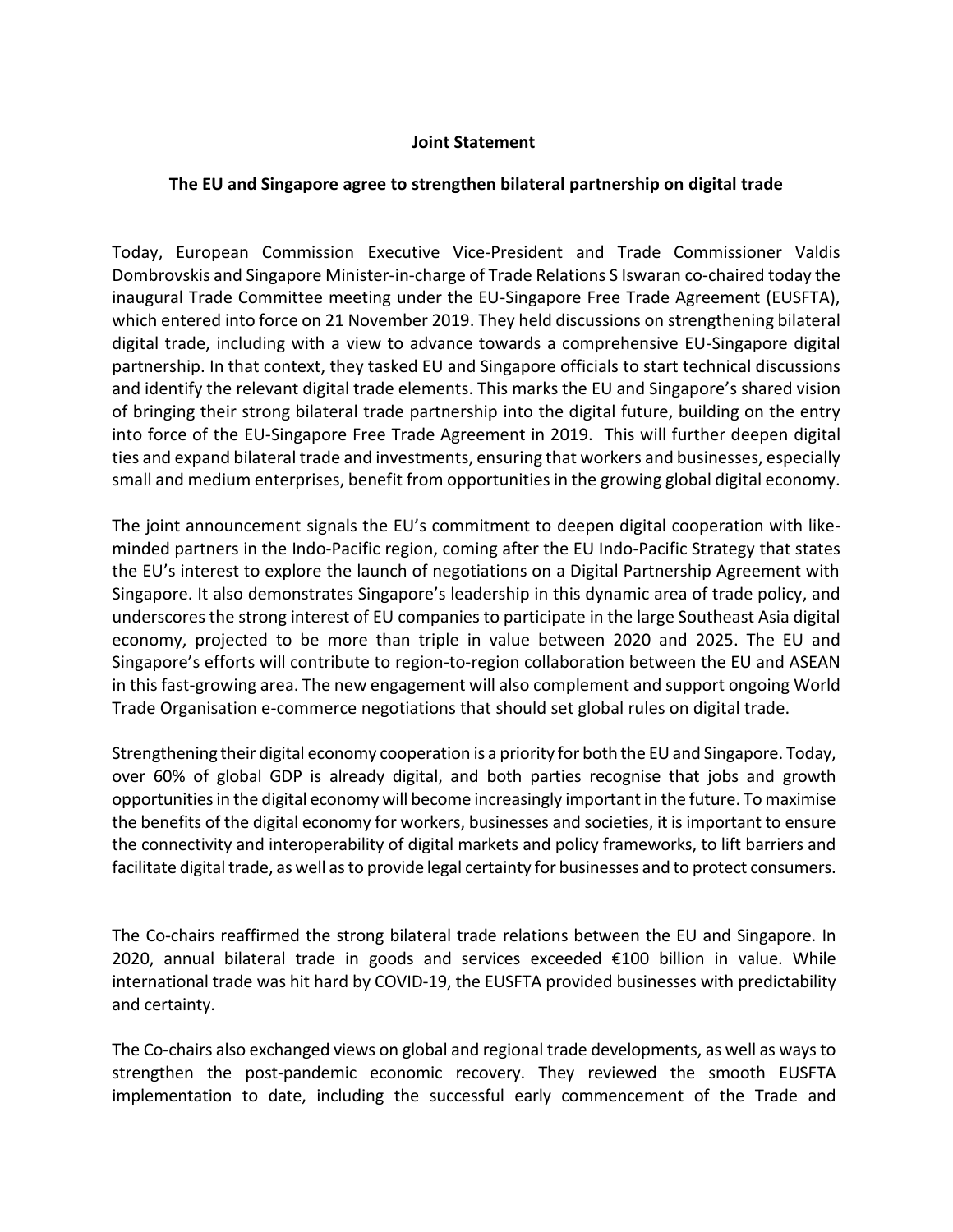## **Joint Statement**

## **The EU and Singapore agree to strengthen bilateral partnership on digital trade**

Today, European Commission Executive Vice-President and Trade Commissioner Valdis Dombrovskis and Singapore Minister-in-charge of Trade Relations S Iswaran co-chaired today the inaugural Trade Committee meeting under the EU-Singapore Free Trade Agreement (EUSFTA), which entered into force on 21 November 2019. They held discussions on strengthening bilateral digital trade, including with a view to advance towards a comprehensive EU-Singapore digital partnership. In that context, they tasked EU and Singapore officials to start technical discussions and identify the relevant digital trade elements. This marks the EU and Singapore's shared vision of bringing their strong bilateral trade partnership into the digital future, building on the entry into force of the EU-Singapore Free Trade Agreement in 2019. This will further deepen digital ties and expand bilateral trade and investments, ensuring that workers and businesses, especially small and medium enterprises, benefit from opportunities in the growing global digital economy.

The joint announcement signals the EU's commitment to deepen digital cooperation with likeminded partners in the Indo-Pacific region, coming after the [EU Indo-Pacific Strategy](https://ec.europa.eu/info/sites/default/files/jointcommunication_indo_pacific_en.pdf) that states the EU's interest to explore the launch of negotiations on a Digital Partnership Agreement with Singapore. It also demonstrates Singapore's leadership in this dynamic area of trade policy, and underscores the strong interest of EU companies to participate in the large Southeast Asia digital economy, projected to be more than triple in value between 2020 and 2025. The EU and Singapore's efforts will contribute to region-to-region collaboration between the EU and ASEAN in this fast-growing area. The new engagement will also complement and support ongoing World Trade Organisation e-commerce negotiations that should set global rules on digital trade.

Strengthening their digital economy cooperation is a priority for both the EU and Singapore. Today, over 60% of global GDP is already digital, and both parties recognise that jobs and growth opportunities in the digital economy will become increasingly important in the future. To maximise the benefits of the digital economy for workers, businesses and societies, it is important to ensure the connectivity and interoperability of digital markets and policy frameworks, to lift barriers and facilitate digital trade, as well asto provide legal certainty for businesses and to protect consumers.

The Co-chairs reaffirmed the strong bilateral trade relations between the EU and Singapore. In 2020, annual bilateral trade in goods and services exceeded €100 billion in value. While international trade was hit hard by COVID-19, the EUSFTA provided businesses with predictability and certainty.

The Co-chairs also exchanged views on global and regional trade developments, as well as ways to strengthen the post-pandemic economic recovery. They reviewed the smooth EUSFTA implementation to date, including the successful early commencement of the Trade and